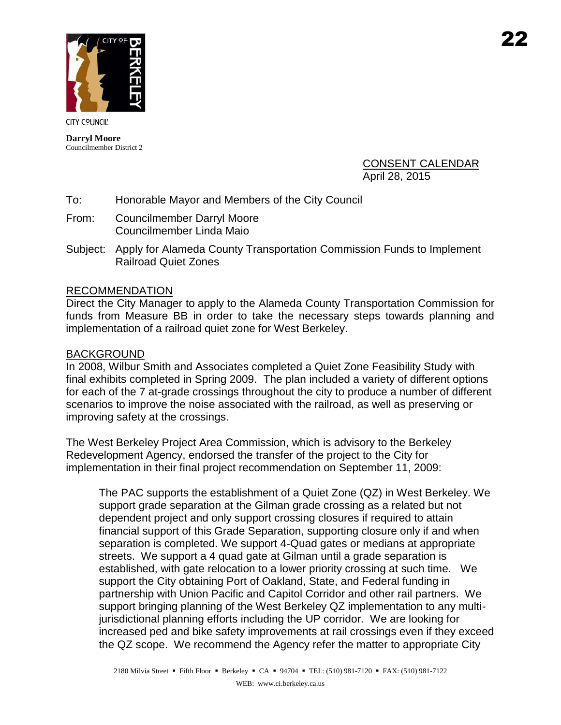

**Darryl Moore** Councilmember District 2

> CONSENT CALENDAR April 28, 2015

- To: Honorable Mayor and Members of the City Council
- From: Councilmember Darryl Moore Councilmember Linda Maio
- Subject: Apply for Alameda County Transportation Commission Funds to Implement Railroad Quiet Zones

## RECOMMENDATION

Direct the City Manager to apply to the Alameda County Transportation Commission for funds from Measure BB in order to take the necessary steps towards planning and implementation of a railroad quiet zone for West Berkeley.

## BACKGROUND

In 2008, Wilbur Smith and Associates completed a Quiet Zone Feasibility Study with final exhibits completed in Spring 2009. The plan included a variety of different options for each of the 7 at-grade crossings throughout the city to produce a number of different scenarios to improve the noise associated with the railroad, as well as preserving or improving safety at the crossings.

The West Berkeley Project Area Commission, which is advisory to the Berkeley Redevelopment Agency, endorsed the transfer of the project to the City for implementation in their final project recommendation on September 11, 2009:

The PAC supports the establishment of a Quiet Zone (QZ) in West Berkeley. We support grade separation at the Gilman grade crossing as a related but not dependent project and only support crossing closures if required to attain financial support of this Grade Separation, supporting closure only if and when separation is completed. We support 4-Quad gates or medians at appropriate streets. We support a 4 quad gate at Gilman until a grade separation is established, with gate relocation to a lower priority crossing at such time. We support the City obtaining Port of Oakland, State, and Federal funding in partnership with Union Pacific and Capitol Corridor and other rail partners. We support bringing planning of the West Berkeley QZ implementation to any multijurisdictional planning efforts including the UP corridor. We are looking for increased ped and bike safety improvements at rail crossings even if they exceed the QZ scope. We recommend the Agency refer the matter to appropriate City